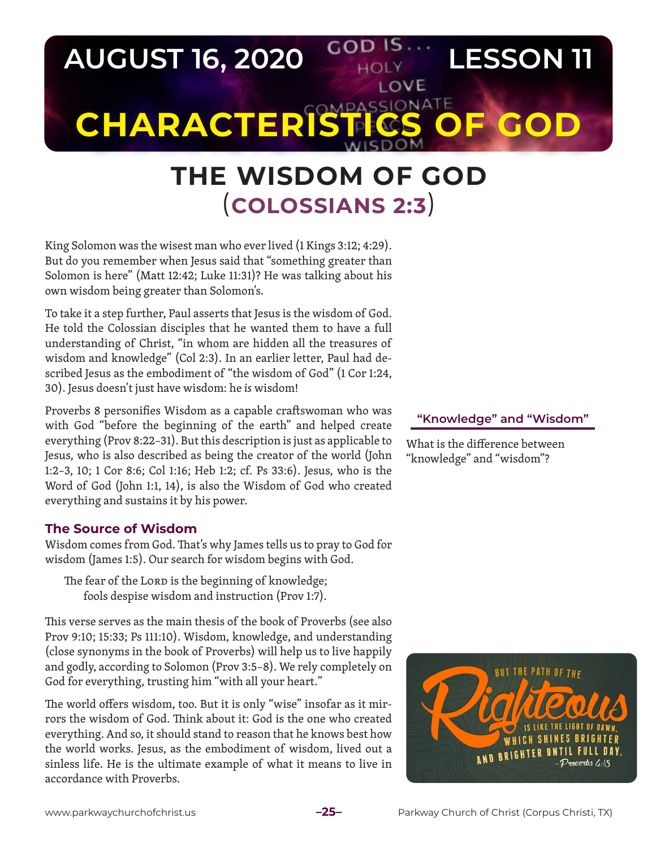

# **THE WISDOM OF GOD** (**COLOSSIANS 2:3**)

King Solomon was the wisest man who ever lived (1 Kings 3:12; 4:29). But do you remember when Jesus said that "something greater than Solomon is here" (Matt 12:42; Luke 11:31)? He was talking about his own wisdom being greater than Solomon's.

To take it a step further, Paul asserts that Jesus is the wisdom of God. He told the Colossian disciples that he wanted them to have a full understanding of Christ, "in whom are hidden all the treasures of wisdom and knowledge" (Col 2:3). In an earlier letter, Paul had described Jesus as the embodiment of "the wisdom of God" (1 Cor 1:24, 30). Jesus doesn't just have wisdom: he *is* wisdom!

Proverbs 8 personifies Wisdom as a capable craftswoman who was with God "before the beginning of the earth" and helped create everything (Prov 8:22–31). But this description is just as applicable to Jesus, who is also described as being the creator of the world (John 1:2–3, 10; 1 Cor 8:6; Col 1:16; Heb 1:2; cf. Ps 33:6). Jesus, who is the Word of God (John 1:1, 14), is also the Wisdom of God who created everything and sustains it by his power.

### **The Source of Wisdom**

Wisdom comes from God. That's why James tells us to pray to God for wisdom (James 1:5). Our search for wisdom begins with God.

The fear of the LORD is the beginning of knowledge; fools despise wisdom and instruction (Prov 1:7).

This verse serves as the main thesis of the book of Proverbs (see also Prov 9:10; 15:33; Ps 111:10). Wisdom, knowledge, and understanding (close synonyms in the book of Proverbs) will help us to live happily and godly, according to Solomon (Prov 3:5–8). We rely completely on God for everything, trusting him "with all your heart."

The world offers wisdom, too. But it is only "wise" insofar as it mirrors the wisdom of God. Think about it: God is the one who created everything. And so, it should stand to reason that he knows best how the world works. Jesus, as the embodiment of wisdom, lived out a sinless life. He is the ultimate example of what it means to live in accordance with Proverbs.

#### **"Knowledge" and "Wisdom"**

What is the difference between "knowledge" and "wisdom"?